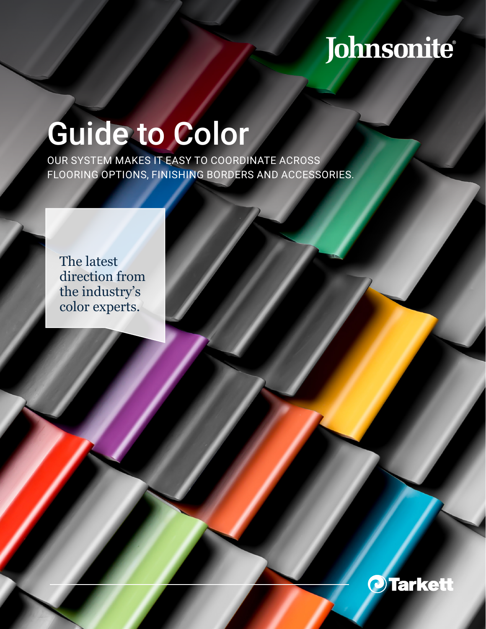## Johnsonite®

# Guide to Color

OUR SYSTEM MAKES IT EASY TO COORDINATE ACROSS FLOORING OPTIONS, FINISHING BORDERS AND ACCESSORIES.

The latest direction from the industry's color experts.

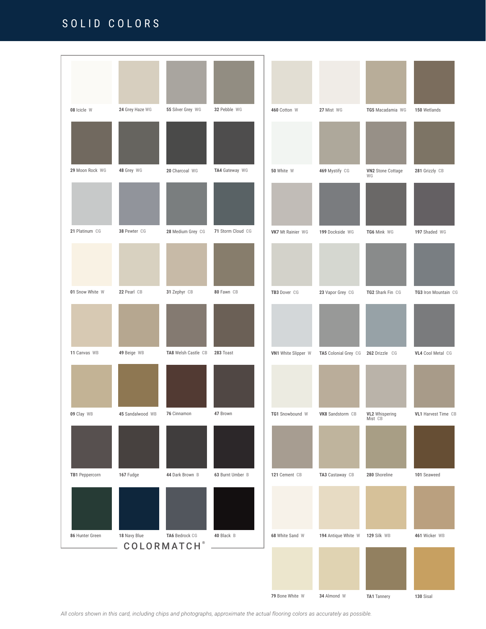## SOLID COLORS



*All colors shown in this card, including chips and photographs, approximate the actual flooring colors as accurately as possible.*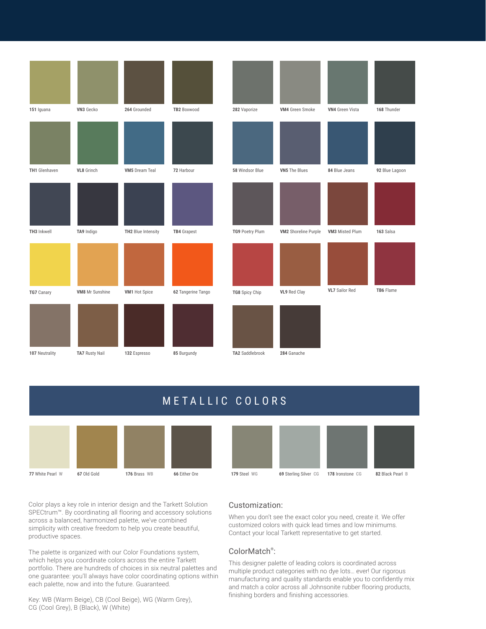| 151 Iguana           | VN3 Gecko             | 264 Grounded          | TB2 Boxwood        | 282 Vaporize    | VM4 Green Smoke             | <b>VN4</b> Green Vista | 168 Thunder    |
|----------------------|-----------------------|-----------------------|--------------------|-----------------|-----------------------------|------------------------|----------------|
|                      |                       |                       |                    |                 |                             |                        |                |
|                      |                       |                       |                    |                 |                             |                        |                |
| <b>TH1</b> Glenhaven | VL8 Grinch            | <b>VM5</b> Dream Teal | 72 Harbour         | 58 Windsor Blue | VN5 The Blues               | 84 Blue Jeans          | 92 Blue Lagoon |
|                      |                       |                       |                    |                 |                             |                        |                |
| TH3 Inkwell          | TA9 Indigo            | TH2 Blue Intensity    | <b>TB4</b> Grapest | TG9 Poetry Plum | <b>VM2</b> Shoreline Purple | VM3 Misted Plum        | 163 Salsa      |
|                      |                       |                       |                    |                 |                             |                        |                |
| TG7 Canary           | VM8 Mr Sunshine       | VM1 Hot Spice         | 62 Tangerine Tango | TG8 Spicy Chip  | VL9 Red Clay                | <b>VL7</b> Sailor Red  | TB6 Flame      |
|                      |                       |                       |                    |                 |                             |                        |                |
| 107 Neutrality       | <b>TA7 Rusty Nail</b> | 132 Espresso          | 85 Burgundy        | TA2 Saddlebrook | 284 Ganache                 |                        |                |

## METALLIC COLORS





Color plays a key role in interior design and the Tarkett Solution SPECtrum™. By coordinating all flooring and accessory solutions across a balanced, harmonized palette, we've combined simplicity with creative freedom to help you create beautiful, productive spaces.

The palette is organized with our Color Foundations system, which helps you coordinate colors across the entire Tarkett portfolio. There are hundreds of choices in six neutral palettes and one guarantee: you'll always have color coordinating options within each palette, now and into the future. Guaranteed.

Key: WB (Warm Beige), CB (Cool Beige), WG (Warm Grey), CG (Cool Grey), B (Black), W (White)

#### Customization:

When you don't see the exact color you need, create it. We offer customized colors with quick lead times and low minimums. Contact your local Tarkett representative to get started.

#### ColorMatch® :

This designer palette of leading colors is coordinated across multiple product categories with no dye lots… ever! Our rigorous manufacturing and quality standards enable you to confidently mix and match a color across all Johnsonite rubber flooring products, finishing borders and finishing accessories.